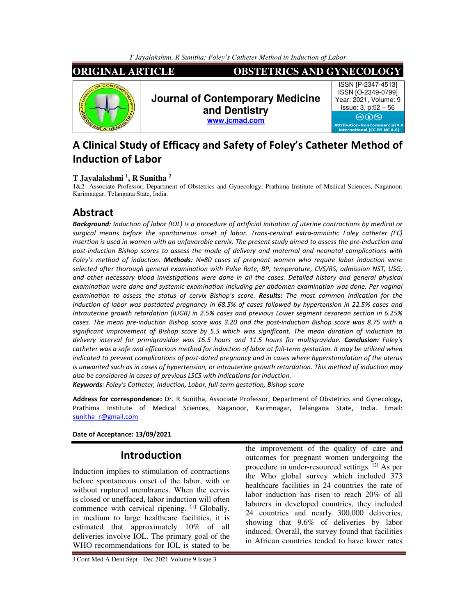*T Jayalakshmi, R Sunitha; Foley's Catheter Method in Induction of Labor*



# **A Clinical Study of Efficacy and Safety of Foley's Catheter Method of Induction of Labor**

### **T Jayalakshmi <sup>1</sup> , R Sunitha <sup>2</sup>**

1&2- Associate Professor, Department of Obstetrics and Gynecology, Prathima Institute of Medical Sciences, Naganoor, Karimnagar, Telangana State, India.

## **Abstract**

*Background: Induction of labor (IOL) is a procedure of artificial initiation of uterine contractions by medical or surgical means before the spontaneous onset of labor. Trans-cervical extra-amniotic Foley catheter (FC) insertion is used in women with an unfavorable cervix. The present study aimed to assess the pre-induction and post-induction Bishop scores to assess the mode of delivery and maternal and neonatal complications with Foley's method of induction. Methods: N=80 cases of pregnant women who require labor induction were selected after thorough general examination with Pulse Rate, BP, temperature, CVS/RS, admission NST, USG, and other necessary blood investigations were done in all the cases. Detailed history and general physical*  examination were done and systemic examination including per abdomen examination was done. Per vaginal *examination to assess the status of cervix Bishop's score. Results: The most common indication for the induction of labor was postdated pregnancy in 68.5% of cases followed by hypertension in 22.5% cases and Intrauterine growth retardation (IUGR) in 2.5% cases and previous Lower segment cesarean section in 6.25% cases. The mean pre-induction Bishop score was 3.20 and the post-induction Bishop score was 8.75 with a significant improvement of Bishop score by 5.5 which was significant. The mean duration of induction to delivery interval for primigravidae was 16.5 hours and 11.5 hours for multigravidae. Conclusion: Foley's*  catheter was a safe and efficacious method for induction of labor at full-term gestation. It may be utilized when *indicated to prevent complications of post-dated pregnancy and in cases where hyperstimulation of the uterus is unwanted such as in cases of hypertension, or intrauterine growth retardation. This method of induction may also be considered in cases of previous LSCS with indications for induction.* 

*Keywords: Foley's Catheter, Induction, Labor, full-term gestation, Bishop score* 

**Address for correspondence:** Dr. R Sunitha, Associate Professor, Department of Obstetrics and Gynecology, Prathima Institute of Medical Sciences, Naganoor, Karimnagar, Telangana State, India. Email: sunitha\_r@gmail.com

#### **Date of Acceptance: 13/09/2021**

## **Introduction**

Induction implies to stimulation of contractions before spontaneous onset of the labor, with or without ruptured membranes. When the cervix is closed or uneffaced, labor induction will often commence with cervical ripening. [1] Globally, in medium to large healthcare facilities, it is estimated that approximately 10% of all deliveries involve IOL. The primary goal of the WHO recommendations for IOL is stated to be the improvement of the quality of care and outcomes for pregnant women undergoing the procedure in under-resourced settings. [2] As per the Who global survey which included 373 healthcare facilities in 24 countries the rate of labor induction has risen to reach 20% of all laborers in developed countries, they included 24 countries and nearly 300,000 deliveries, showing that 9.6% of deliveries by labor induced. Overall, the survey found that facilities in African countries tended to have lower rates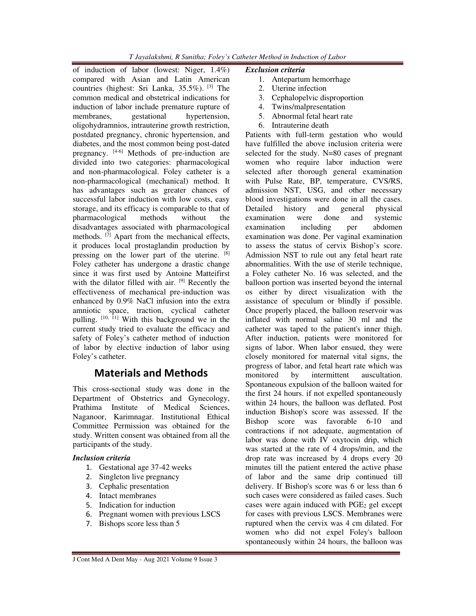of induction of labor (lowest: Niger, 1.4%) compared with Asian and Latin American countries (highest: Sri Lanka, 35.5%). [3] The common medical and obstetrical indications for induction of labor include premature rupture of<br>membranes, gestational hypertension, membranes, gestational hypertension, oligohydramnios, intrauterine growth restriction, postdated pregnancy, chronic hypertension, and diabetes, and the most common being post-dated pregnancy. [4-6] Methods of pre-induction are divided into two categories: pharmacological and non-pharmacological. Foley catheter is a non-pharmacological (mechanical) method. It has advantages such as greater chances of successful labor induction with low costs, easy storage, and its efficacy is comparable to that of pharmacological methods without the disadvantages associated with pharmacological methods.  $[7]$  Apart from the mechanical effects, it produces local prostaglandin production by pressing on the lower part of the uterine. [8] Foley catheter has undergone a drastic change since it was first used by Antoine Matteifirst with the dilator filled with air. <sup>[9]</sup> Recently the effectiveness of mechanical pre-induction was enhanced by 0.9% NaCl infusion into the extra amniotic space, traction, cyclical catheter pulling. [10, 11] With this background we in the current study tried to evaluate the efficacy and safety of Foley's catheter method of induction of labor by elective induction of labor using Foley's catheter.

# **Materials and Methods**

This cross-sectional study was done in the Department of Obstetrics and Gynecology, Prathima Institute of Medical Sciences, Naganoor, Karimnagar. Institutional Ethical Committee Permission was obtained for the study. Written consent was obtained from all the participants of the study.

### *Inclusion criteria*

- 1. Gestational age 37-42 weeks
- 2. Singleton live pregnancy
- 3. Cephalic presentation
- 4. Intact membranes
- 5. Indication for induction
- 6. Pregnant women with previous LSCS
- 7. Bishops score less than 5

#### *Exclusion criteria*

- 1. Antepartum hemorrhage
- 2. Uterine infection
- 3. Cephalopelvic disproportion
- 4. Twins/malpresentation
- 5. Abnormal fetal heart rate
- 6. Intrauterine death

Patients with full-term gestation who would have fulfilled the above inclusion criteria were selected for the study. N=80 cases of pregnant women who require labor induction were selected after thorough general examination with Pulse Rate, BP, temperature, CVS/RS, admission NST, USG, and other necessary blood investigations were done in all the cases. Detailed history and general physical examination were done and systemic examination including per abdomen examination was done. Per vaginal examination to assess the status of cervix Bishop's score. Admission NST to rule out any fetal heart rate abnormalities. With the use of sterile technique, a Foley catheter No. 16 was selected, and the balloon portion was inserted beyond the internal os either by direct visualization with the assistance of speculum or blindly if possible. Once properly placed, the balloon reservoir was inflated with normal saline 30 ml and the catheter was taped to the patient's inner thigh. After induction, patients were monitored for signs of labor. When labor ensued, they were closely monitored for maternal vital signs, the progress of labor, and fetal heart rate which was monitored by intermittent auscultation. Spontaneous expulsion of the balloon waited for the first 24 hours. if not expelled spontaneously within 24 hours, the balloon was deflated. Post induction Bishop's score was assessed. If the Bishop score was favorable 6-10 and contractions if not adequate, augmentation of labor was done with IV oxytocin drip, which was started at the rate of 4 drops/min, and the drop rate was increased by 4 drops every 20 minutes till the patient entered the active phase of labor and the same drip continued till delivery. If Bishop's score was 6 or less than 6 such cases were considered as failed cases. Such cases were again induced with  $PGE<sub>2</sub>$  gel except for cases with previous LSCS. Membranes were ruptured when the cervix was 4 cm dilated. For women who did not expel Foley's balloon spontaneously within 24 hours, the balloon was

*T Jayalakshmi, R Sunitha; Foley's Catheter Method in Induction of Labor*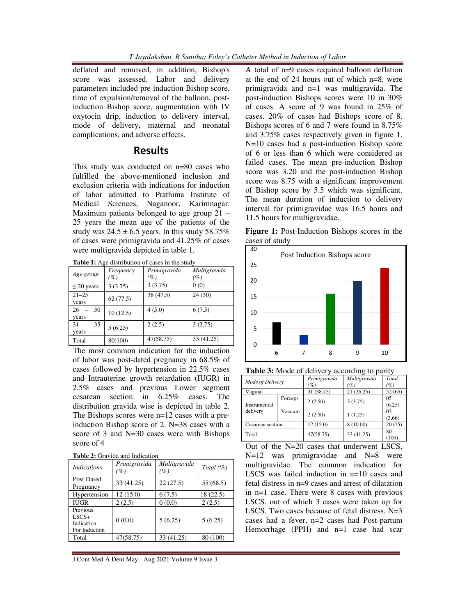deflated and removed, in addition, Bishop's score was assessed. Labor and delivery parameters included pre-induction Bishop score, time of expulsion/removal of the balloon, postinduction Bishop score, augmentation with IV oxytocin drip, induction to delivery interval, mode of delivery, maternal and neonatal comp**l**ications, and adverse effects.

## **Results**

This study was conducted on n=80 cases who fulfilled the above-mentioned inclusion and exclusion criteria with indications for induction of labor admitted to Prathima Institute of Medical Sciences, Naganoor, Karimnagar. Maximum patients belonged to age group 21 – 25 years the mean age of the patients of the study was  $24.5 \pm 6.5$  years. In this study 58.75% of cases were primigravida and 41.25% of cases were multigravida depicted in table 1.

Table 1: Age distribution of cases in the study

| Age group       | Frequency<br>(%) | Primigravida<br>$\varphi_0$ | Multigravida<br>(%) |
|-----------------|------------------|-----------------------------|---------------------|
| $\leq$ 20 years | 3(3.75)          | 3(3.75)                     | 0(0)                |
| $21 - 25$       | 62(77.5)         | 38 (47.5)                   | 24(30)              |
| years           |                  |                             |                     |
| 30<br>26        | 10(12.5)         | 4(5.0)                      | 6(7.5)              |
| years           |                  |                             |                     |
| 31<br>35        | 5(6.25)          | 2(2.5)                      | 3(3.75)             |
| years           |                  |                             |                     |
| Total           | 80(100)          | 47(58.75)                   | 33 (41.25)          |

The most common indication for the induction of labor was post-dated pregnancy in 68.5% of cases followed by hypertension in 22.5% cases and Intrauterine growth retardation (IUGR) in 2.5% cases and previous Lower segment cesarean section in 6.25% cases. The distribution gravida wise is depicted in table 2. The Bishops scores were n=12 cases with a preinduction Bishop score of 2. N=38 cases with a score of 3 and N=30 cases were with Bishops score of 4

|  |  |  | <b>Table 2:</b> Gravida and Indication |
|--|--|--|----------------------------------------|
|--|--|--|----------------------------------------|

| <i>Indications</i>                                 | Primigravida<br>$\%)$ | Multigravida<br>$\left( \% \right)$ | Total $(\%)$ |
|----------------------------------------------------|-----------------------|-------------------------------------|--------------|
| Post Dated<br>Pregnancy                            | 33 (41.25)            | 22(27.5)                            | 55 (68.5)    |
| Hypertension                                       | 12(15.0)              | 6(7.5)                              | 18(22.5)     |
| IUGR                                               | 2(2.5)                | 0(0.0)                              | 2(2.5)       |
| Previous<br>$LSCS+$<br>Indication<br>For Induction | 0(0.0)                | 5(6.25)                             | 5(6.25)      |
| Total                                              | 47(58.75)             | 33 (41.25)                          | 80 (100)     |
|                                                    |                       |                                     |              |

J Cont Med A Dent May - Aug 2021 Volume 9 Issue 3

A total of n=9 cases required balloon deflation at the end of 24 hours out of which n=8, were primigravida and n=1 was multigravida. The post-induction Bishops scores were 10 in 30% of cases. A score of 9 was found in 25% of cases. 20% of cases had Bishops score of 8. Bishops scores of 6 and 7 were found in 8.75% and 3.75% cases respectively given in figure 1. N=10 cases had a post-induction Bishop score of 6 or less than 6 which were considered as failed cases. The mean pre-induction Bishop score was 3.20 and the post-induction Bishop score was 8.75 with a significant improvement of Bishop score by 5.5 which was significant. The mean duration of induction to delivery interval for primigravidae was 16.5 hours and 11.5 hours for multigravidae.

**Figure 1:** Post-Induction Bishops scores in the cases of study



**Table 3:** Mode of delivery according to parity

| Mode of Delivery |         | Primigravida<br>$\mathscr{G}_o$ ) | Multigravida<br>$\mathscr{G}_o$ ) | Total<br>(%) |
|------------------|---------|-----------------------------------|-----------------------------------|--------------|
| Vaginal          |         | 31 (38.75)                        | 21(26.25)                         | 52(65)       |
| Instrumental     | Forceps | 2(2.50)                           | 3(3.75)                           | 05<br>(6.25) |
| delivery         | Vacuum  | 2(2.50)                           | 1(1.25)                           | 03<br>(3.66) |
| Cesarean section |         | 12(15.0)                          | 8 (10.00)                         | 20(25)       |
| Total            |         | 47(58.75)                         | 33 (41.25)                        | 80<br>(100)  |

Out of the N=20 cases that underwent LSCS, N=12 was primigravidae and N=8 were multigravidae. The common indication for LSCS was failed induction in n=10 cases and fetal distress in n=9 cases and arrest of dilatation in n=1 case. There were 8 cases with previous LSCS, out of which 3 cases were taken up for LSCS. Two cases because of fetal distress. N=3 cases had a fever, n=2 cases had Post-partum Hemorrhage (PPH) and n=1 case had scar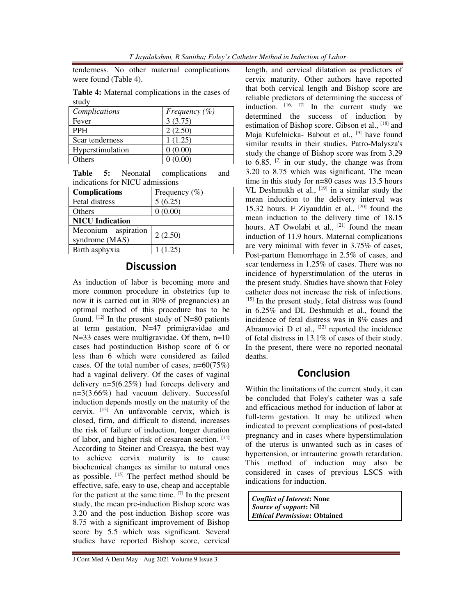tenderness. No other maternal complications were found (Table 4).

**Table 4:** Maternal complications in the cases of study

| Complications    | Frequency $(\% )$ |
|------------------|-------------------|
| Fever            | 3(3.75)           |
| <b>PPH</b>       | 2(2.50)           |
| Scar tenderness  | 1(1.25)           |
| Hyperstimulation | 0(0.00)           |
| <b>Others</b>    | 0(0.00)           |

|  | <b>Table 5:</b> Neonatal        | complications | and |
|--|---------------------------------|---------------|-----|
|  | indications for NICU admissions |               |     |

| <b>Complications</b>                  | Frequency $(\% )$ |
|---------------------------------------|-------------------|
| Fetal distress                        | 5(6.25)           |
| Others                                | 0(0.00)           |
| <b>NICU</b> Indication                |                   |
| Meconium aspiration<br>syndrome (MAS) | 2(2.50)           |
| Birth asphyxia                        | 1(1.25)           |

## **Discussion**

As induction of labor is becoming more and more common procedure in obstetrics (up to now it is carried out in 30% of pregnancies) an optimal method of this procedure has to be found.  $^{[12]}$  In the present study of N=80 patients at term gestation, N=47 primigravidae and N=33 cases were multigravidae. Of them, n=10 cases had postinduction Bishop score of 6 or less than 6 which were considered as failed cases. Of the total number of cases,  $n=60(75%)$ had a vaginal delivery. Of the cases of vaginal delivery n=5(6.25%) had forceps delivery and n=3(3.66%) had vacuum delivery. Successful induction depends mostly on the maturity of the cervix. [13] An unfavorable cervix, which is closed, firm, and difficult to distend, increases the risk of failure of induction, longer duration of labor, and higher risk of cesarean section. [14] According to Steiner and Creasya, the best way to achieve cervix maturity is to cause biochemical changes as similar to natural ones as possible.  $[15]$  The perfect method should be effective, safe, easy to use, cheap and acceptable for the patient at the same time.  $[7]$  In the present study, the mean pre-induction Bishop score was 3.20 and the post-induction Bishop score was 8.75 with a significant improvement of Bishop score by 5.5 which was significant. Several studies have reported Bishop score, cervical

length, and cervical dilatation as predictors of cervix maturity. Other authors have reported that both cervical length and Bishop score are reliable predictors of determining the success of induction.  $[16, 17]$  In the current study we determined the success of induction by estimation of Bishop score. Gibson et al., [18] and Maja Kufelnicka- Babout et al., <sup>[9]</sup> have found similar results in their studies. Patro-Malysza's study the change of Bishop score was from 3.29 to  $6.85$ . <sup>[7]</sup> in our study, the change was from 3.20 to 8.75 which was significant. The mean time in this study for n=80 cases was 13.5 hours VL Deshmukh et al.,  $[19]$  in a similar study the mean induction to the delivery interval was 15.32 hours. F Ziyauddin et al., [20] found the mean induction to the delivery time of 18.15 hours. AT Owolabi et al.,  $[21]$  found the mean induction of 11.9 hours. Maternal complications are very minimal with fever in 3.75% of cases, Post-partum Hemorrhage in 2.5% of cases, and scar tenderness in 1.25% of cases. There was no incidence of hyperstimulation of the uterus in the present study. Studies have shown that Foley catheter does not increase the risk of infections. [15] In the present study, fetal distress was found in 6.25% and DL Deshmukh et al., found the incidence of fetal distress was in 8% cases and Abramovici D et al.,  $[22]$  reported the incidence of fetal distress in 13.1% of cases of their study. In the present, there were no reported neonatal deaths.

## **Conclusion**

Within the limitations of the current study, it can be concluded that Foley's catheter was a safe and efficacious method for induction of labor at full-term gestation. It may be utilized when indicated to prevent complications of post-dated pregnancy and in cases where hyperstimulation of the uterus is unwanted such as in cases of hypertension, or intrauterine growth retardation. This method of induction may also be considered in cases of previous LSCS with indications for induction.

*Conflict of Interest***: None**  *Source of support***: Nil**  *Ethical Permission***: Obtained**